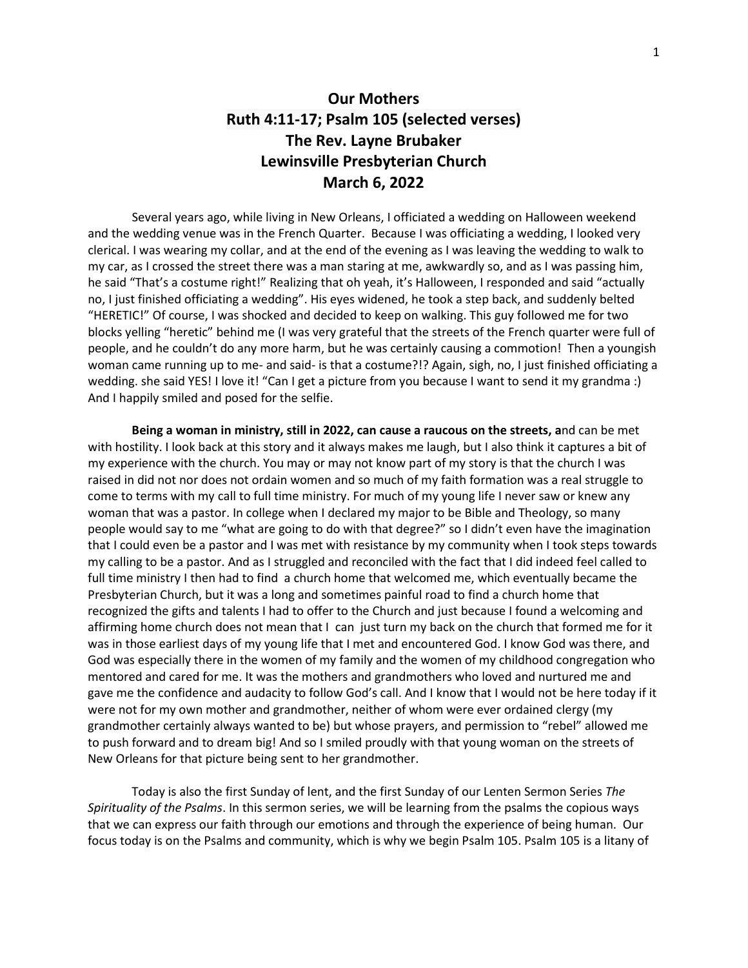Several years ago, while living in New Orleans, I officiated a wedding on Halloween weekend and the wedding venue was in the French Quarter. Because I was officiating a wedding, I looked very clerical. I was wearing my collar, and at the end of the evening as I was leaving the wedding to walk to my car, as I crossed the street there was a man staring at me, awkwardly so, and as I was passing him, he said "That's a costume right!" Realizing that oh yeah, it's Halloween, I responded and said "actually no, I just finished officiating a wedding". His eyes widened, he took a step back, and suddenly belted "HERETIC!" Of course, I was shocked and decided to keep on walking. This guy followed me for two blocks yelling "heretic" behind me (I was very grateful that the streets of the French quarter were full of people, and he couldn't do any more harm, but he was certainly causing a commotion! Then a youngish woman came running up to me- and said- is that a costume?!? Again, sigh, no, I just finished officiating a wedding. she said YES! I love it! "Can I get a picture from you because I want to send it my grandma :) And I happily smiled and posed for the selfie.

**Being a woman in ministry, still in 2022, can cause a raucous on the streets, a**nd can be met with hostility. I look back at this story and it always makes me laugh, but I also think it captures a bit of my experience with the church. You may or may not know part of my story is that the church I was raised in did not nor does not ordain women and so much of my faith formation was a real struggle to come to terms with my call to full time ministry. For much of my young life I never saw or knew any woman that was a pastor. In college when I declared my major to be Bible and Theology, so many people would say to me "what are going to do with that degree?" so I didn't even have the imagination that I could even be a pastor and I was met with resistance by my community when I took steps towards my calling to be a pastor. And as I struggled and reconciled with the fact that I did indeed feel called to full time ministry I then had to find a church home that welcomed me, which eventually became the Presbyterian Church, but it was a long and sometimes painful road to find a church home that recognized the gifts and talents I had to offer to the Church and just because I found a welcoming and affirming home church does not mean that I can just turn my back on the church that formed me for it was in those earliest days of my young life that I met and encountered God. I know God was there, and God was especially there in the women of my family and the women of my childhood congregation who mentored and cared for me. It was the mothers and grandmothers who loved and nurtured me and gave me the confidence and audacity to follow God's call. And I know that I would not be here today if it were not for my own mother and grandmother, neither of whom were ever ordained clergy (my grandmother certainly always wanted to be) but whose prayers, and permission to "rebel" allowed me to push forward and to dream big! And so I smiled proudly with that young woman on the streets of New Orleans for that picture being sent to her grandmother.

Today is also the first Sunday of lent, and the first Sunday of our Lenten Sermon Series *The Spirituality of the Psalms*. In this sermon series, we will be learning from the psalms the copious ways that we can express our faith through our emotions and through the experience of being human. Our focus today is on the Psalms and community, which is why we begin Psalm 105. Psalm 105 is a litany of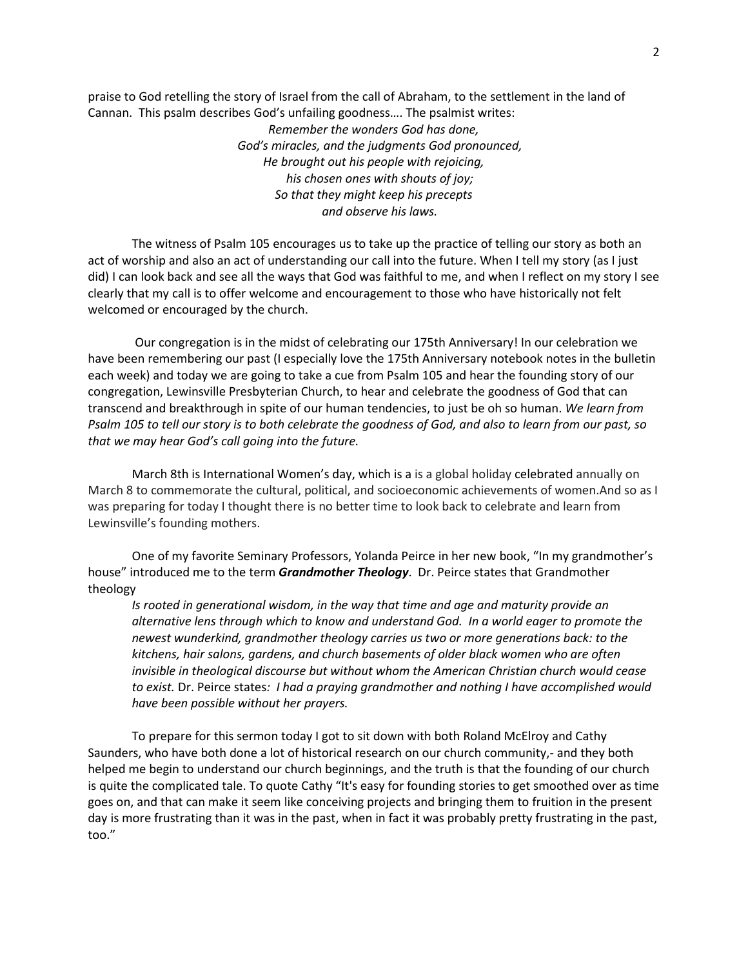praise to God retelling the story of Israel from the call of Abraham, to the settlement in the land of Cannan. This psalm describes God's unfailing goodness…. The psalmist writes:

> *Remember the wonders God has done, God's miracles, and the judgments God pronounced, He brought out his people with rejoicing, his chosen ones with shouts of joy; So that they might keep his precepts and observe his laws.*

The witness of Psalm 105 encourages us to take up the practice of telling our story as both an act of worship and also an act of understanding our call into the future. When I tell my story (as I just did) I can look back and see all the ways that God was faithful to me, and when I reflect on my story I see clearly that my call is to offer welcome and encouragement to those who have historically not felt welcomed or encouraged by the church.

Our congregation is in the midst of celebrating our 175th Anniversary! In our celebration we have been remembering our past (I especially love the 175th Anniversary notebook notes in the bulletin each week) and today we are going to take a cue from Psalm 105 and hear the founding story of our congregation, Lewinsville Presbyterian Church, to hear and celebrate the goodness of God that can transcend and breakthrough in spite of our human tendencies, to just be oh so human. *We learn from Psalm 105 to tell our story is to both celebrate the goodness of God, and also to learn from our past, so that we may hear God's call going into the future.*

March 8th is International Women's day, which is a is a global holiday [celebrated](https://en.wikipedia.org/wiki/List_of_minor_secular_observances#March) annually on March 8 to commemorate the cultural, political, and socioeconomic achievements of women.And so as I was preparing for today I thought there is no better time to look back to celebrate and learn from Lewinsville's founding mothers.

One of my favorite Seminary Professors, Yolanda Peirce in her new book, "In my grandmother's house" introduced me to the term *Grandmother Theology*. Dr. Peirce states that Grandmother theology

*Is rooted in generational wisdom, in the way that time and age and maturity provide an alternative lens through which to know and understand God. In a world eager to promote the newest wunderkind, grandmother theology carries us two or more generations back: to the kitchens, hair salons, gardens, and church basements of older black women who are often invisible in theological discourse but without whom the American Christian church would cease to exist.* Dr. Peirce states*: I had a praying grandmother and nothing I have accomplished would have been possible without her prayers.* 

To prepare for this sermon today I got to sit down with both Roland McElroy and Cathy Saunders, who have both done a lot of historical research on our church community,- and they both helped me begin to understand our church beginnings, and the truth is that the founding of our church is quite the complicated tale. To quote Cathy "It's easy for founding stories to get smoothed over as time goes on, and that can make it seem like conceiving projects and bringing them to fruition in the present day is more frustrating than it was in the past, when in fact it was probably pretty frustrating in the past, too."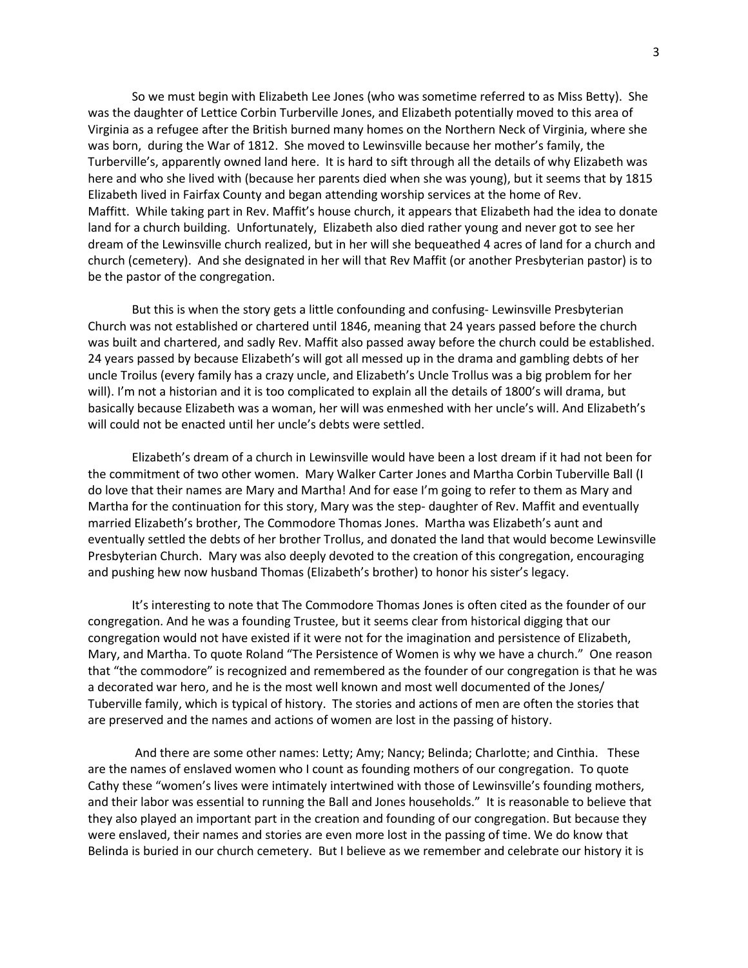So we must begin with Elizabeth Lee Jones (who was sometime referred to as Miss Betty). She was the daughter of Lettice Corbin Turberville Jones, and Elizabeth potentially moved to this area of Virginia as a refugee after the British burned many homes on the Northern Neck of Virginia, where she was born, during the War of 1812. She moved to Lewinsville because her mother's family, the Turberville's, apparently owned land here. It is hard to sift through all the details of why Elizabeth was here and who she lived with (because her parents died when she was young), but it seems that by 1815 Elizabeth lived in Fairfax County and began attending worship services at the home of Rev. Maffitt. While taking part in Rev. Maffit's house church, it appears that Elizabeth had the idea to donate land for a church building. Unfortunately, Elizabeth also died rather young and never got to see her dream of the Lewinsville church realized, but in her will she bequeathed 4 acres of land for a church and church (cemetery). And she designated in her will that Rev Maffit (or another Presbyterian pastor) is to be the pastor of the congregation.

But this is when the story gets a little confounding and confusing- Lewinsville Presbyterian Church was not established or chartered until 1846, meaning that 24 years passed before the church was built and chartered, and sadly Rev. Maffit also passed away before the church could be established. 24 years passed by because Elizabeth's will got all messed up in the drama and gambling debts of her uncle Troilus (every family has a crazy uncle, and Elizabeth's Uncle Trollus was a big problem for her will). I'm not a historian and it is too complicated to explain all the details of 1800's will drama, but basically because Elizabeth was a woman, her will was enmeshed with her uncle's will. And Elizabeth's will could not be enacted until her uncle's debts were settled.

Elizabeth's dream of a church in Lewinsville would have been a lost dream if it had not been for the commitment of two other women. Mary Walker Carter Jones and Martha Corbin Tuberville Ball (I do love that their names are Mary and Martha! And for ease I'm going to refer to them as Mary and Martha for the continuation for this story, Mary was the step- daughter of Rev. Maffit and eventually married Elizabeth's brother, The Commodore Thomas Jones. Martha was Elizabeth's aunt and eventually settled the debts of her brother Trollus, and donated the land that would become Lewinsville Presbyterian Church. Mary was also deeply devoted to the creation of this congregation, encouraging and pushing hew now husband Thomas (Elizabeth's brother) to honor his sister's legacy.

It's interesting to note that The Commodore Thomas Jones is often cited as the founder of our congregation. And he was a founding Trustee, but it seems clear from historical digging that our congregation would not have existed if it were not for the imagination and persistence of Elizabeth, Mary, and Martha. To quote Roland "The Persistence of Women is why we have a church." One reason that "the commodore" is recognized and remembered as the founder of our congregation is that he was a decorated war hero, and he is the most well known and most well documented of the Jones/ Tuberville family, which is typical of history. The stories and actions of men are often the stories that are preserved and the names and actions of women are lost in the passing of history.

And there are some other names: Letty; Amy; Nancy; Belinda; Charlotte; and Cinthia. These are the names of enslaved women who I count as founding mothers of our congregation. To quote Cathy these "women's lives were intimately intertwined with those of Lewinsville's founding mothers, and their labor was essential to running the Ball and Jones households." It is reasonable to believe that they also played an important part in the creation and founding of our congregation. But because they were enslaved, their names and stories are even more lost in the passing of time. We do know that Belinda is buried in our church cemetery. But I believe as we remember and celebrate our history it is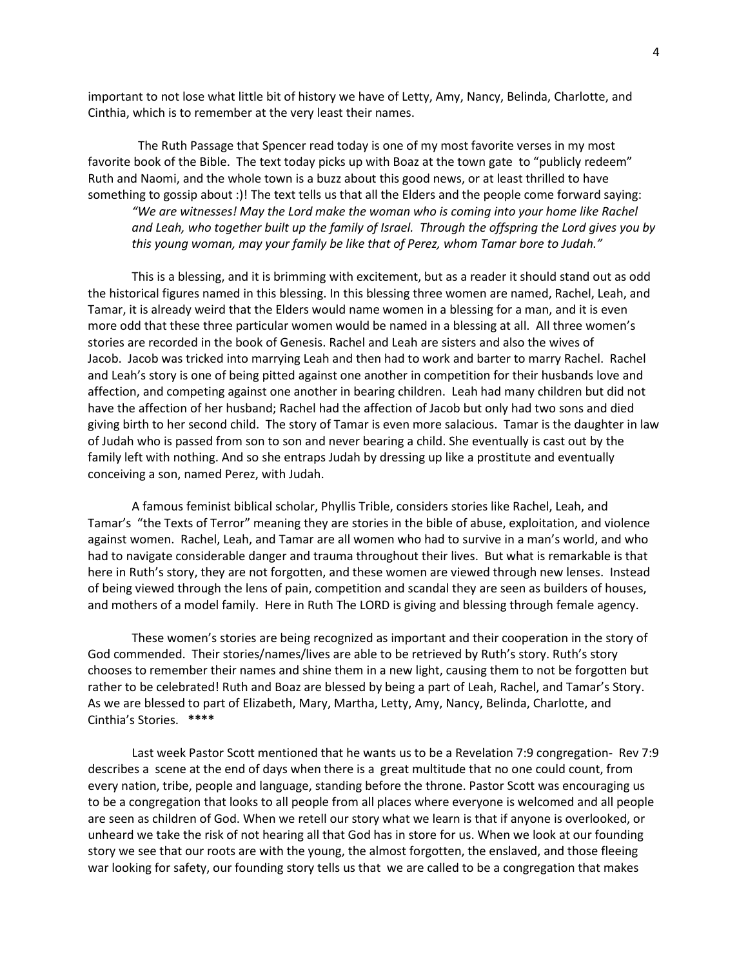important to not lose what little bit of history we have of Letty, Amy, Nancy, Belinda, Charlotte, and Cinthia, which is to remember at the very least their names.

 The Ruth Passage that Spencer read today is one of my most favorite verses in my most favorite book of the Bible. The text today picks up with Boaz at the town gate to "publicly redeem" Ruth and Naomi, and the whole town is a buzz about this good news, or at least thrilled to have something to gossip about :)! The text tells us that all the Elders and the people come forward saying:

*"We are witnesses! May the Lord make the woman who is coming into your home like Rachel and Leah, who together built up the family of Israel. Through the offspring the Lord gives you by this young woman, may your family be like that of Perez, whom Tamar bore to Judah."*

This is a blessing, and it is brimming with excitement, but as a reader it should stand out as odd the historical figures named in this blessing. In this blessing three women are named, Rachel, Leah, and Tamar, it is already weird that the Elders would name women in a blessing for a man, and it is even more odd that these three particular women would be named in a blessing at all. All three women's stories are recorded in the book of Genesis. Rachel and Leah are sisters and also the wives of Jacob. Jacob was tricked into marrying Leah and then had to work and barter to marry Rachel. Rachel and Leah's story is one of being pitted against one another in competition for their husbands love and affection, and competing against one another in bearing children. Leah had many children but did not have the affection of her husband; Rachel had the affection of Jacob but only had two sons and died giving birth to her second child. The story of Tamar is even more salacious. Tamar is the daughter in law of Judah who is passed from son to son and never bearing a child. She eventually is cast out by the family left with nothing. And so she entraps Judah by dressing up like a prostitute and eventually conceiving a son, named Perez, with Judah.

A famous feminist biblical scholar, Phyllis Trible, considers stories like Rachel, Leah, and Tamar's "the Texts of Terror" meaning they are stories in the bible of abuse, exploitation, and violence against women. Rachel, Leah, and Tamar are all women who had to survive in a man's world, and who had to navigate considerable danger and trauma throughout their lives. But what is remarkable is that here in Ruth's story, they are not forgotten, and these women are viewed through new lenses. Instead of being viewed through the lens of pain, competition and scandal they are seen as builders of houses, and mothers of a model family. Here in Ruth The LORD is giving and blessing through female agency.

These women's stories are being recognized as important and their cooperation in the story of God commended. Their stories/names/lives are able to be retrieved by Ruth's story. Ruth's story chooses to remember their names and shine them in a new light, causing them to not be forgotten but rather to be celebrated! Ruth and Boaz are blessed by being a part of Leah, Rachel, and Tamar's Story. As we are blessed to part of Elizabeth, Mary, Martha, Letty, Amy, Nancy, Belinda, Charlotte, and Cinthia's Stories. **\*\*\*\***

Last week Pastor Scott mentioned that he wants us to be a Revelation 7:9 congregation- Rev 7:9 describes a scene at the end of days when there is a great multitude that no one could count, from every nation, tribe, people and language, standing before the throne. Pastor Scott was encouraging us to be a congregation that looks to all people from all places where everyone is welcomed and all people are seen as children of God. When we retell our story what we learn is that if anyone is overlooked, or unheard we take the risk of not hearing all that God has in store for us. When we look at our founding story we see that our roots are with the young, the almost forgotten, the enslaved, and those fleeing war looking for safety, our founding story tells us that we are called to be a congregation that makes